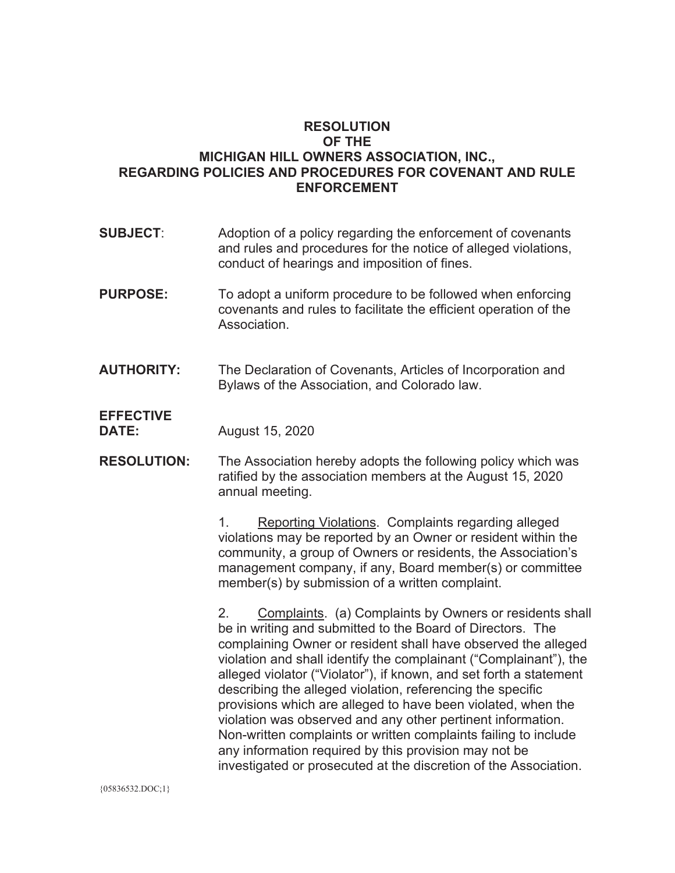## **RESOLUTION OF THE MICHIGAN HILL OWNERS ASSOCIATION, INC., REGARDING POLICIES AND PROCEDURES FOR COVENANT AND RULE ENFORCEMENT**

- **SUBJECT**: Adoption of a policy regarding the enforcement of covenants and rules and procedures for the notice of alleged violations, conduct of hearings and imposition of fines.
- **PURPOSE:** To adopt a uniform procedure to be followed when enforcing covenants and rules to facilitate the efficient operation of the Association.
- **AUTHORITY:** The Declaration of Covenants, Articles of Incorporation and Bylaws of the Association, and Colorado law.

## **EFFECTIVE DATE:**

August 15, 2020

**RESOLUTION:** The Association hereby adopts the following policy which was ratified by the association members at the August 15, 2020 annual meeting.

> 1. Reporting Violations. Complaints regarding alleged violations may be reported by an Owner or resident within the community, a group of Owners or residents, the Association's management company, if any, Board member(s) or committee member(s) by submission of a written complaint.

2. Complaints. (a) Complaints by Owners or residents shall be in writing and submitted to the Board of Directors. The complaining Owner or resident shall have observed the alleged violation and shall identify the complainant ("Complainant"), the alleged violator ("Violator"), if known, and set forth a statement describing the alleged violation, referencing the specific provisions which are alleged to have been violated, when the violation was observed and any other pertinent information. Non-written complaints or written complaints failing to include any information required by this provision may not be investigated or prosecuted at the discretion of the Association.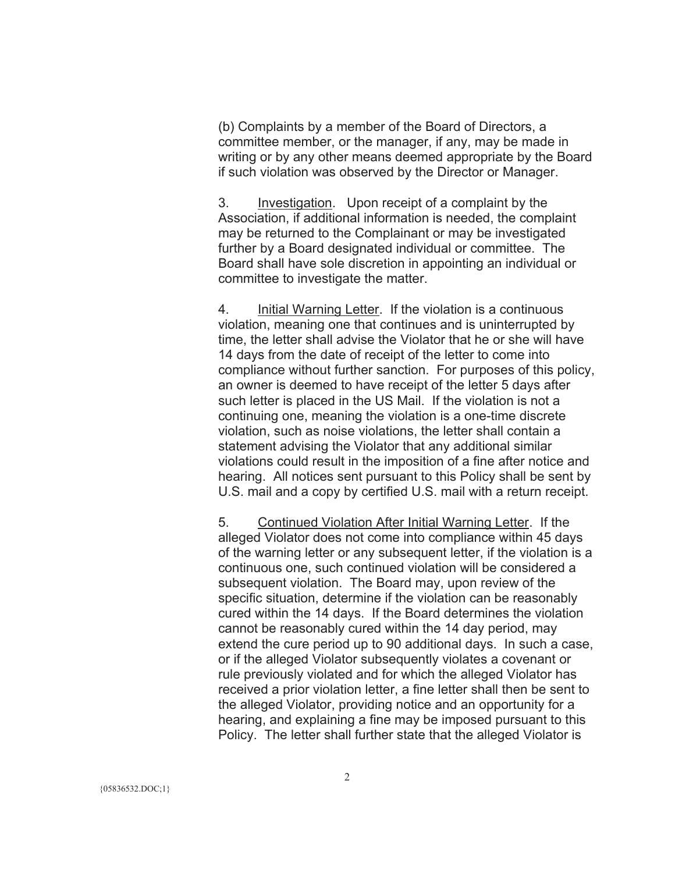(b) Complaints by a member of the Board of Directors, a committee member, or the manager, if any, may be made in writing or by any other means deemed appropriate by the Board if such violation was observed by the Director or Manager.

3. Investigation. Upon receipt of a complaint by the Association, if additional information is needed, the complaint may be returned to the Complainant or may be investigated further by a Board designated individual or committee. The Board shall have sole discretion in appointing an individual or committee to investigate the matter.

4. Initial Warning Letter. If the violation is a continuous violation, meaning one that continues and is uninterrupted by time, the letter shall advise the Violator that he or she will have 14 days from the date of receipt of the letter to come into compliance without further sanction. For purposes of this policy, an owner is deemed to have receipt of the letter 5 days after such letter is placed in the US Mail. If the violation is not a continuing one, meaning the violation is a one-time discrete violation, such as noise violations, the letter shall contain a statement advising the Violator that any additional similar violations could result in the imposition of a fine after notice and hearing. All notices sent pursuant to this Policy shall be sent by U.S. mail and a copy by certified U.S. mail with a return receipt.

5. Continued Violation After Initial Warning Letter. If the alleged Violator does not come into compliance within 45 days of the warning letter or any subsequent letter, if the violation is a continuous one, such continued violation will be considered a subsequent violation. The Board may, upon review of the specific situation, determine if the violation can be reasonably cured within the 14 days. If the Board determines the violation cannot be reasonably cured within the 14 day period, may extend the cure period up to 90 additional days. In such a case, or if the alleged Violator subsequently violates a covenant or rule previously violated and for which the alleged Violator has received a prior violation letter, a fine letter shall then be sent to the alleged Violator, providing notice and an opportunity for a hearing, and explaining a fine may be imposed pursuant to this Policy. The letter shall further state that the alleged Violator is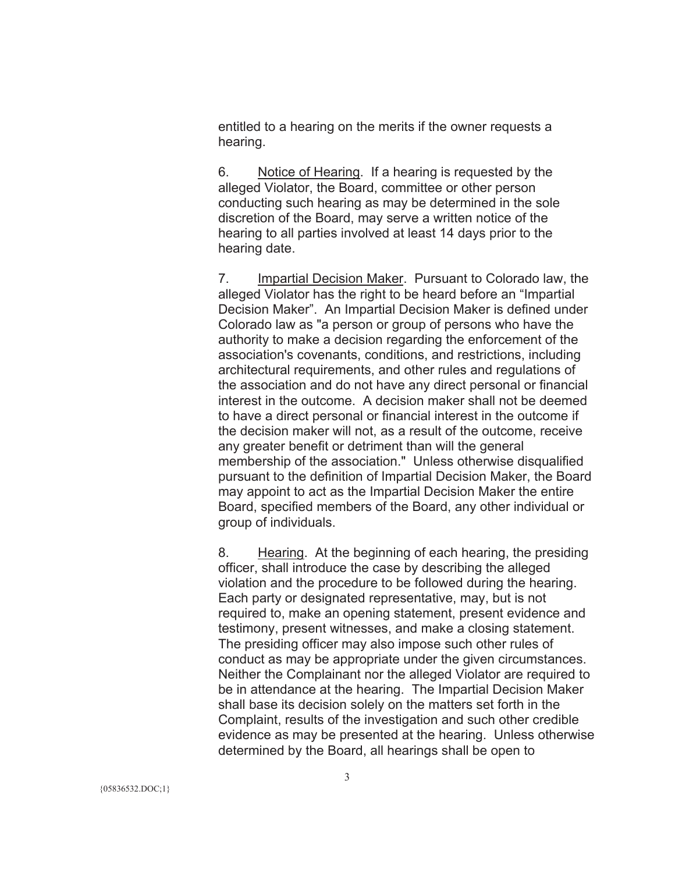entitled to a hearing on the merits if the owner requests a hearing.

6. Notice of Hearing. If a hearing is requested by the alleged Violator, the Board, committee or other person conducting such hearing as may be determined in the sole discretion of the Board, may serve a written notice of the hearing to all parties involved at least 14 days prior to the hearing date.

7. Impartial Decision Maker. Pursuant to Colorado law, the alleged Violator has the right to be heard before an "Impartial Decision Maker". An Impartial Decision Maker is defined under Colorado law as "a person or group of persons who have the authority to make a decision regarding the enforcement of the association's covenants, conditions, and restrictions, including architectural requirements, and other rules and regulations of the association and do not have any direct personal or financial interest in the outcome. A decision maker shall not be deemed to have a direct personal or financial interest in the outcome if the decision maker will not, as a result of the outcome, receive any greater benefit or detriment than will the general membership of the association." Unless otherwise disqualified pursuant to the definition of Impartial Decision Maker, the Board may appoint to act as the Impartial Decision Maker the entire Board, specified members of the Board, any other individual or group of individuals.

8. Hearing. At the beginning of each hearing, the presiding officer, shall introduce the case by describing the alleged violation and the procedure to be followed during the hearing. Each party or designated representative, may, but is not required to, make an opening statement, present evidence and testimony, present witnesses, and make a closing statement. The presiding officer may also impose such other rules of conduct as may be appropriate under the given circumstances. Neither the Complainant nor the alleged Violator are required to be in attendance at the hearing. The Impartial Decision Maker shall base its decision solely on the matters set forth in the Complaint, results of the investigation and such other credible evidence as may be presented at the hearing. Unless otherwise determined by the Board, all hearings shall be open to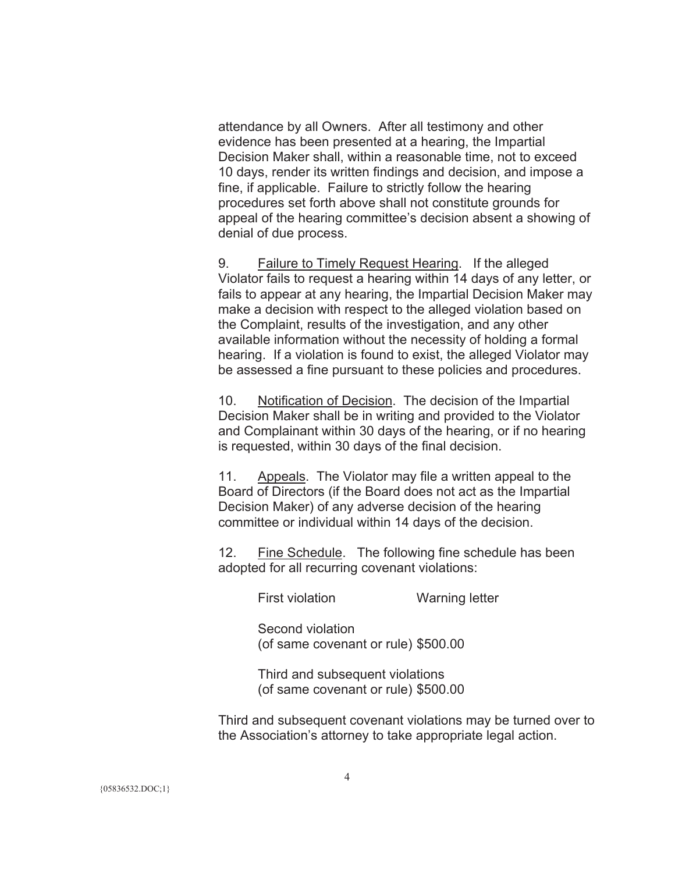attendance by all Owners. After all testimony and other evidence has been presented at a hearing, the Impartial Decision Maker shall, within a reasonable time, not to exceed 10 days, render its written findings and decision, and impose a fine, if applicable. Failure to strictly follow the hearing procedures set forth above shall not constitute grounds for appeal of the hearing committee's decision absent a showing of denial of due process.

9. Failure to Timely Request Hearing. If the alleged Violator fails to request a hearing within 14 days of any letter, or fails to appear at any hearing, the Impartial Decision Maker may make a decision with respect to the alleged violation based on the Complaint, results of the investigation, and any other available information without the necessity of holding a formal hearing. If a violation is found to exist, the alleged Violator may be assessed a fine pursuant to these policies and procedures.

10. Notification of Decision. The decision of the Impartial Decision Maker shall be in writing and provided to the Violator and Complainant within 30 days of the hearing, or if no hearing is requested, within 30 days of the final decision.

11. Appeals. The Violator may file a written appeal to the Board of Directors (if the Board does not act as the Impartial Decision Maker) of any adverse decision of the hearing committee or individual within 14 days of the decision.

12. Fine Schedule. The following fine schedule has been adopted for all recurring covenant violations:

First violation Warning letter

Second violation (of same covenant or rule) \$500.00

Third and subsequent violations (of same covenant or rule) \$500.00

Third and subsequent covenant violations may be turned over to the Association's attorney to take appropriate legal action.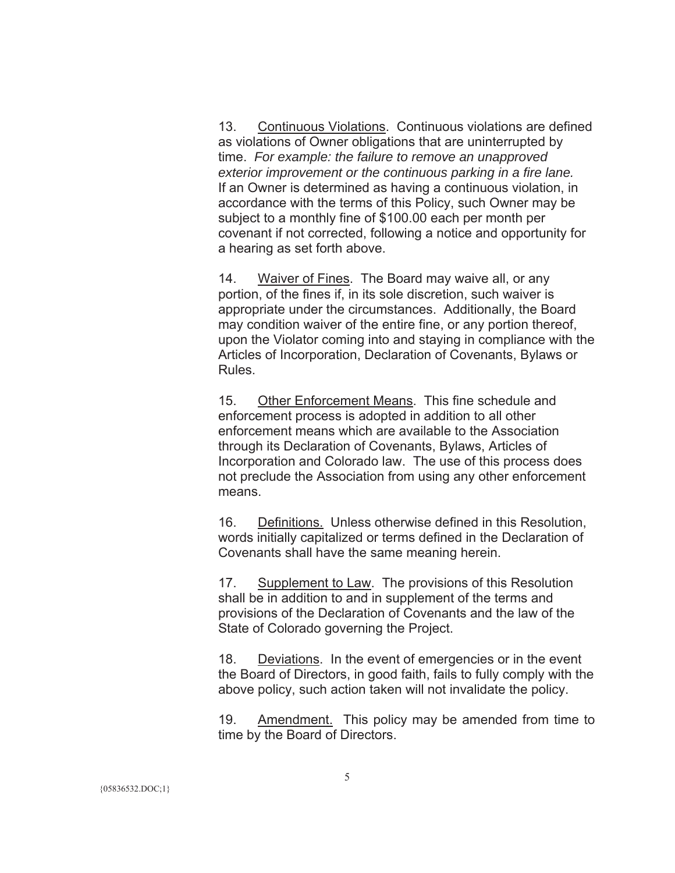13. Continuous Violations. Continuous violations are defined as violations of Owner obligations that are uninterrupted by time. *For example: the failure to remove an unapproved exterior improvement or the continuous parking in a fire lane.* If an Owner is determined as having a continuous violation, in accordance with the terms of this Policy, such Owner may be subject to a monthly fine of \$100.00 each per month per covenant if not corrected, following a notice and opportunity for a hearing as set forth above.

14. Waiver of Fines. The Board may waive all, or any portion, of the fines if, in its sole discretion, such waiver is appropriate under the circumstances. Additionally, the Board may condition waiver of the entire fine, or any portion thereof, upon the Violator coming into and staying in compliance with the Articles of Incorporation, Declaration of Covenants, Bylaws or Rules.

15. Other Enforcement Means. This fine schedule and enforcement process is adopted in addition to all other enforcement means which are available to the Association through its Declaration of Covenants, Bylaws, Articles of Incorporation and Colorado law. The use of this process does not preclude the Association from using any other enforcement means.

16. Definitions. Unless otherwise defined in this Resolution, words initially capitalized or terms defined in the Declaration of Covenants shall have the same meaning herein.

17. Supplement to Law. The provisions of this Resolution shall be in addition to and in supplement of the terms and provisions of the Declaration of Covenants and the law of the State of Colorado governing the Project.

18. Deviations. In the event of emergencies or in the event the Board of Directors, in good faith, fails to fully comply with the above policy, such action taken will not invalidate the policy.

19. Amendment. This policy may be amended from time to time by the Board of Directors.